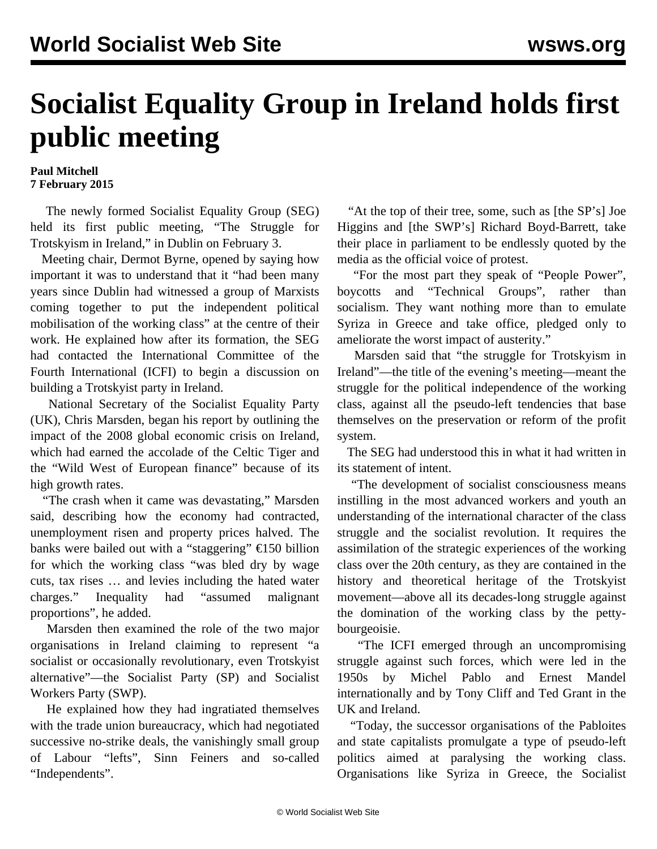## **Socialist Equality Group in Ireland holds first public meeting**

## **Paul Mitchell 7 February 2015**

 The newly formed Socialist Equality Group (SEG) held its first public meeting, "The Struggle for Trotskyism in Ireland," in Dublin on February 3.

 Meeting chair, Dermot Byrne, opened by saying how important it was to understand that it "had been many years since Dublin had witnessed a group of Marxists coming together to put the independent political mobilisation of the working class" at the centre of their work. He explained how after its formation, the SEG had contacted the International Committee of the Fourth International (ICFI) to begin a discussion on building a Trotskyist party in Ireland.

 National Secretary of the Socialist Equality Party (UK), Chris Marsden, began his report by outlining the impact of the 2008 global economic crisis on Ireland, which had earned the accolade of the Celtic Tiger and the "Wild West of European finance" because of its high growth rates.

 "The crash when it came was devastating," Marsden said, describing how the economy had contracted, unemployment risen and property prices halved. The banks were bailed out with a "staggering" €150 billion for which the working class "was bled dry by wage cuts, tax rises … and levies including the hated water charges." Inequality had "assumed malignant proportions", he added.

 Marsden then examined the role of the two major organisations in Ireland claiming to represent "a socialist or occasionally revolutionary, even Trotskyist alternative"—the Socialist Party (SP) and Socialist Workers Party (SWP).

 He explained how they had ingratiated themselves with the trade union bureaucracy, which had negotiated successive no-strike deals, the vanishingly small group of Labour "lefts", Sinn Feiners and so-called "Independents".

 "At the top of their tree, some, such as [the SP's] Joe Higgins and [the SWP's] Richard Boyd-Barrett, take their place in parliament to be endlessly quoted by the media as the official voice of protest.

 "For the most part they speak of "People Power", boycotts and "Technical Groups", rather than socialism. They want nothing more than to emulate Syriza in Greece and take office, pledged only to ameliorate the worst impact of austerity."

 Marsden said that "the struggle for Trotskyism in Ireland"—the title of the evening's meeting—meant the struggle for the political independence of the working class, against all the pseudo-left tendencies that base themselves on the preservation or reform of the profit system.

 The SEG had understood this in what it had written in its statement of intent.

 "The development of socialist consciousness means instilling in the most advanced workers and youth an understanding of the international character of the class struggle and the socialist revolution. It requires the assimilation of the strategic experiences of the working class over the 20th century, as they are contained in the history and theoretical heritage of the Trotskyist movement—above all its decades-long struggle against the domination of the working class by the pettybourgeoisie.

 "The ICFI emerged through an uncompromising struggle against such forces, which were led in the 1950s by Michel Pablo and Ernest Mandel internationally and by Tony Cliff and Ted Grant in the UK and Ireland.

 "Today, the successor organisations of the Pabloites and state capitalists promulgate a type of pseudo-left politics aimed at paralysing the working class. Organisations like Syriza in Greece, the Socialist